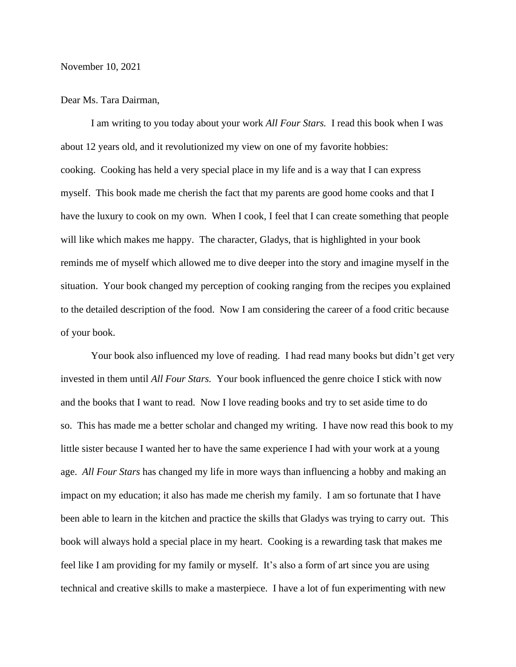November 10, 2021

## Dear Ms. Tara Dairman,

I am writing to you today about your work *All Four Stars.* I read this book when I was about 12 years old, and it revolutionized my view on one of my favorite hobbies: cooking. Cooking has held a very special place in my life and is a way that I can express myself. This book made me cherish the fact that my parents are good home cooks and that I have the luxury to cook on my own. When I cook, I feel that I can create something that people will like which makes me happy. The character, Gladys, that is highlighted in your book reminds me of myself which allowed me to dive deeper into the story and imagine myself in the situation. Your book changed my perception of cooking ranging from the recipes you explained to the detailed description of the food. Now I am considering the career of a food critic because of your book.

Your book also influenced my love of reading. I had read many books but didn't get very invested in them until *All Four Stars.* Your book influenced the genre choice I stick with now and the books that I want to read. Now I love reading books and try to set aside time to do so. This has made me a better scholar and changed my writing. I have now read this book to my little sister because I wanted her to have the same experience I had with your work at a young age. *All Four Stars* has changed my life in more ways than influencing a hobby and making an impact on my education; it also has made me cherish my family. I am so fortunate that I have been able to learn in the kitchen and practice the skills that Gladys was trying to carry out. This book will always hold a special place in my heart. Cooking is a rewarding task that makes me feel like I am providing for my family or myself. It's also a form of art since you are using technical and creative skills to make a masterpiece. I have a lot of fun experimenting with new